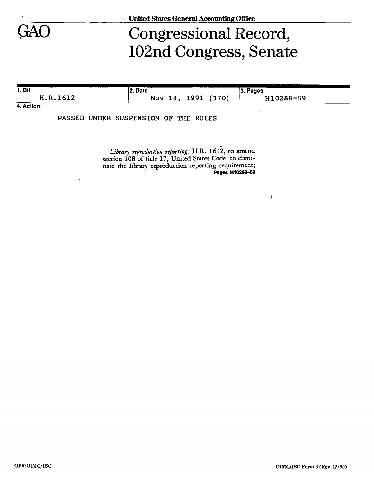

## Congressional Record, 102nd Congress, Senate

ţ

| 1. Bill                                                          | 12. Date    |               | ______<br>_____<br>3. Pages |  |
|------------------------------------------------------------------|-------------|---------------|-----------------------------|--|
| H.R.1612                                                         | Nov<br>-18. | (170)<br>1991 | H10288-89                   |  |
| $\mathbf{A}$ $\mathbf{A}$ $\mathbf{A}$ $\mathbf{A}$ $\mathbf{A}$ |             |               |                             |  |

**4. Action:** 

PASSED UNDER SUSPENSION OF THE RULES

*Library reproduction reporting:* H.R. 1612, to amend section 108 of title 17, United States Code, to eliminate the library reproduction reporting requirement; **Pages H10288-69**